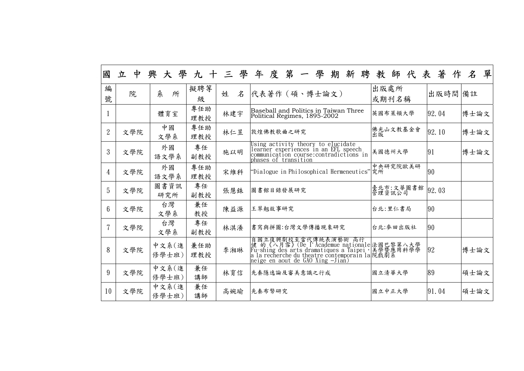| 編<br>號         | 院   | 糸<br>所         | 擬聘等<br>級   | 名<br>姓 | 代表著作 (碩、博士論文)                                                                                                                                                                                            | 出版處所<br>或期刊名稱       | 出版時間 備註 |      |
|----------------|-----|----------------|------------|--------|----------------------------------------------------------------------------------------------------------------------------------------------------------------------------------------------------------|---------------------|---------|------|
|                |     | 體育室            | 專任助<br>理教授 | 林建宇    | Baseball and Politics in Taiwan Three<br>Political Regimes, 1895-2002                                                                                                                                    | 英國布萊頓大學             | 92.04   | 博士論文 |
| $\overline{2}$ | 文學院 | 中國<br>文學系      | 專任助<br>理教授 | 林仁昱    | 敦煌佛教歌曲之研究                                                                                                                                                                                                | 佛光山文教基金會<br>出版      | 92.10   | 博士論文 |
| $\mathfrak{Z}$ | 文學院 | 外國<br>語文學系     | 專任<br>副教授  | 施以明    | Using activity theory to elucidate<br>learner experiences in an EFL speech<br>communication course:contradictions in<br>phases of transition                                                             | 美國德州大學              | 91      | 博士論文 |
| $\overline{4}$ | 文學院 | 外國<br>語文學系     | 專任助<br>理教授 | 宋維科    | "Dialogue in Philosophical Hermeneutics"究所                                                                                                                                                               | 中央研究院歐美研            | 90      |      |
| 5              | 文學院 | 圖書資訊<br>研究所    | 專任<br>副教授  | 張慧銖    | 圖書館目錄發展研究                                                                                                                                                                                                | 臺北市:文華圖書館<br>管理資訊公司 | 92.03   |      |
| $6\phantom{1}$ | 文學院 | 台灣<br>文學系      | 兼任<br>教授   | 陳益源    | 王翠翹故事研究                                                                                                                                                                                                  | 台北:里仁書局             | 90      |      |
| $\overline{7}$ | 文學院 | 台灣<br>文學系      | 專任<br>副教授  | 林淇瀁    | 書寫與拼圖:台灣文學傳播現象研究                                                                                                                                                                                         | 台北:麥田出版社            | 90      |      |
| 8              | 文學院 | 中文系(進<br>修學士班) | 兼任助<br>理教授 | 李湘琳    | 自國立復興劇校至當代傳統表演藝術 高行<br>健 的《八月雪》(De I'Academue nationale法國巴黎第八大學<br>Fu-shing des arts dramatiques a Taipei,美學暨應用科學學<br>a la recherche du theatre contemporain la 院戲劇系<br>neige en aout de GAO Xing -Jian) |                     | 92      | 博士論文 |
| 9              | 文學院 | 中文系(進<br>修學士班) | 兼任<br>講師   | 林育信    | 先秦隱逸論及審美意識之行成                                                                                                                                                                                            | 國立清華大學              | 89      | 碩士論文 |
| 10             | 文學院 | 中文系(進<br>修學士班) | 兼任<br>講師   | 高婉瑜    | 先秦布幣研究                                                                                                                                                                                                   | 國立中正大學              | 91.04   | 碩士論文 |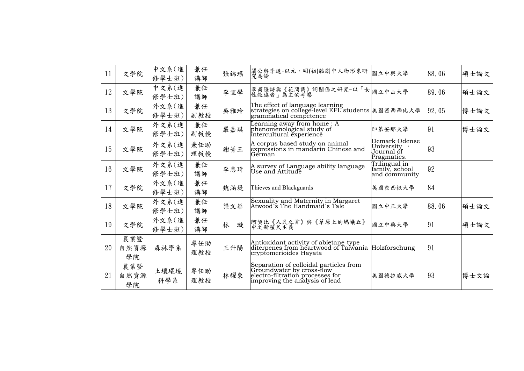| 11 | 文學院               | 中文系(進<br>修學士班) | 兼任<br>講師   | 張錦瑤    | 關公與李逵-以元、明(初)雜劇中人物形象研<br> 究為論                                                                                                             | 國立中興大學                                                    | 88.06  | 碩士論文 |
|----|-------------------|----------------|------------|--------|-------------------------------------------------------------------------------------------------------------------------------------------|-----------------------------------------------------------|--------|------|
| 12 | 文學院               | 中文系(進<br>修學士班) | 兼任<br>講師   | 李宜學    | 李商隱詩與《花間集》詞關係之研究-以「女 <br> 性敘述者」為主的考察                                                                                                      | 國立中山大學                                                    | 89.06  | 碩士論文 |
| 13 | 文學院               | 外文系(進<br>修學士班) | 兼任<br>副教授  | 吳雅玲    | The effect of language learning<br>strategies on college-level EFL students 美國密西西比大學<br>grammatical competence                            |                                                           | 92, 05 | 博士論文 |
| 14 | 文學院               | 外文系(進<br>修學士班) | 兼任<br>副教授  | 嚴嘉琪    | Learning away from home : A<br>phenomenological study of<br>intercultural experience                                                      | 印第安那大學                                                    | 91     | 博士論文 |
| 15 | 文學院               | 外文系(進<br>修學士班) | 兼任助<br>理教授 | 謝菁玉    | A corpus based study on animal<br>expressions in mandarin Chinese and<br>German                                                           | Demark Odense<br>University,<br>Journal õf<br>Pragmatics. | 93     |      |
| 16 | 文學院               | 外文系(進<br>修學士班) | 兼任<br>講師   | 李惠琦    | A survey of Language ability language<br>Use and Attitude                                                                                 | Trilingual in<br>family, school<br>and community          | 92     |      |
| 17 | 文學院               | 外文系(進<br>修學士班) | 兼任<br>講師   | 魏滿堤    | Thieves and Blackguards                                                                                                                   | 美國密西根大學                                                   | 84     |      |
| 18 | 文學院               | 外文系(進<br>修學士班) | 兼任<br>講師   | 梁文華    | Sexuality and Maternity in Margaret<br>Atwood`s The Handmaid`s Tale                                                                       | 國立中正大學                                                    | 88.06  | 碩士論文 |
| 19 | 文學院               | 外文系(進<br>修學士班) | 兼任<br>講師   | 林<br>璇 | 阿契比《人民之首》與《草原上的螞蟻丘》<br> 中之新殖民主義                                                                                                           | 國立中興大學                                                    | 91     | 碩士論文 |
| 20 | 農業暨<br>自然資源<br>學院 | 森林學系           | 專任助<br>理教授 | 王升陽    | Antioxidant activity of abietane-type<br>diterpenes from heartwood of Taiwania Holzforschung<br>cryptomerioides Hayata                    |                                                           | 91     |      |
| 21 | 農業暨<br>自然資源<br>學院 | 土壤環境<br>科學系    | 專任助<br>理教授 | 林耀東    | Separation of colloidal particles from<br>Groundwater by cross-flow<br>electro-filtration processes for<br>improving the analysis of lead | 美國德拉威大學                                                   | 93     | 博士文論 |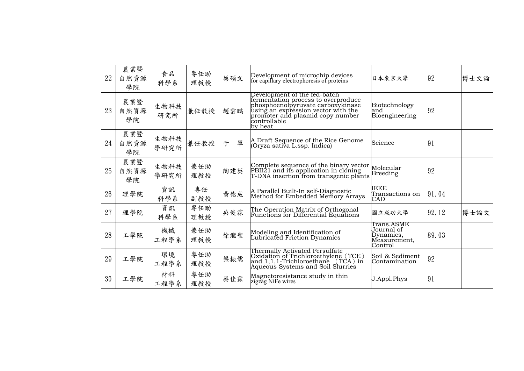| 22 | 農業暨<br>自然資源<br>學院 | 食品<br>科學系    | 專任助<br>理教授 | 蔡碩文    | Development of microchip devices<br>for capillary electrophoresis of proteins                                                                                                                                  | 日本東京大學                                                           | 92    | 博士文論 |
|----|-------------------|--------------|------------|--------|----------------------------------------------------------------------------------------------------------------------------------------------------------------------------------------------------------------|------------------------------------------------------------------|-------|------|
| 23 | 農業暨<br>自然資源<br>學院 | 生物科技<br>研究所  | 兼任教授       | 趙雲鵬    | Development of the fed-batch<br>fermentation process to overproduce<br>phosphoenolpyruvate carboxykinase<br>using an expression vector with the<br>promoter and plasmid copy number<br>controllable<br>by heat | Biotechnology<br>and<br>Bioengineering                           | 92    |      |
| 24 | 農業暨<br>自然資源<br>學院 | 生物科技<br>學研究所 | 兼任教授       | 軍<br>于 | A Draft Sequence of the Rice Genome<br> (Oryza sativa L.ssp. Indica)                                                                                                                                           | Science                                                          | 91    |      |
| 25 | 農業暨<br>自然資源<br>學院 | 生物科技<br>學研究所 | 兼任助<br>理教授 | 陶建英    | Complete sequence of the binary vector<br>PBII21 and its application in cloning<br>T-DNA insertion from transgenic plants                                                                                      | Molecular<br><b>Breeding</b>                                     | 92    |      |
| 26 | 理學院               | 資訊<br>科學系    | 專任<br>副教授  | 黄德成    | A Parallel Built-In self-Diagnostic<br>Method for Embedded Memory Arrays                                                                                                                                       | <b>IEEE</b><br>Transactions on<br><b>CAD</b>                     | 91.04 |      |
| 27 | 理學院               | 資訊<br>科學系    | 專任助<br>理教授 | 吳俊霖    | The Operation Matrix of Orthogonal<br>Functions for Differential Equations                                                                                                                                     | 國立成功大學                                                           | 92.12 | 博士論文 |
| 28 | 工學院               | 機械<br>工程學系   | 兼任助<br>理教授 | 徐繼聖    | Modeling and Identification of<br>Lubricated Friction Dynamics                                                                                                                                                 | Trans.ASME<br>Journal of<br>Dynamics,<br>Measurement,<br>Control | 89.03 |      |
| 29 | 工學院               | 環境<br>工程學系   | 專任助<br>理教授 | 梁振儒    | Thermally Activated Persulfate<br>Oxidation of Trichloroethylene (TCE)<br>and 1,1,1-Trichloroethane (TCA) in<br>Aqueous Systems and Soil Slurries                                                              | Soil & Sediment<br>Contamination                                 | 92    |      |
| 30 | 工學院               | 材料<br>工程學系   | 專任助<br>理教授 | 蔡佳霖    | Magnetoresistance study in thin<br>zigzag NiFe wires                                                                                                                                                           | J.Appl.Phys                                                      | 91    |      |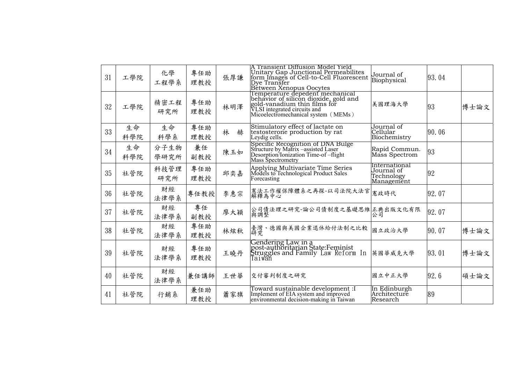| 31 | 工學院       | 化學<br>工程學系   | 專任助<br>理教授 | 張厚謙    | A Transient Diffusion Model Yield<br>Unitary Gap Junctional Permeabilites<br>form Images of Cell-to-Cell Fluorescent<br>Dye Transfer<br>Bétween Xenopus Oocytes                 | Journal of<br>Biophysical                               | 93.04  |      |
|----|-----------|--------------|------------|--------|---------------------------------------------------------------------------------------------------------------------------------------------------------------------------------|---------------------------------------------------------|--------|------|
| 32 | 工學院       | 精密工程<br>研究所  | 專任助<br>理教授 | 林明澤    | Temperature depedent mechanical<br>behavior of silicon dioxide, gold and<br>gold-vanadium thin films for<br>VLSI integrated circuits and<br>Micoelectromechanical system (MEMs) | 美國理海大學                                                  | 93     | 博士論文 |
| 33 | 生命<br>科學院 | 生命<br>科學系    | 專任助<br>理教授 | 林<br>赫 | Stimulatory effect of lactate on<br>testosterone production by rat<br>Leydig cells.                                                                                             | Journal of<br> Cellular<br>Biochemistry                 | 90.06  |      |
| 34 | 生命<br>科學院 | 分子生物<br>學研究所 | 兼任<br>副教授  | 陳玉如    | Specific Recognition of DNA Bulge<br>Structure by Matrix –assisted Laser<br>Desorption/Ionization Time-of-flight<br><b>Mass Spectrometry</b>                                    | Rapid Commun.<br>Mass Spectrom                          | 93     |      |
| 35 | 社管院       | 科技管理<br>研究所  | 專任助<br>理教授 | 邱奕嘉    | Applying Multivariate Time Series<br>Models to Technological Product Sales<br>Forecasting                                                                                       | International<br>Journal of<br>Technology<br>Management | 92     |      |
| 36 | 社管院       | 財經<br>法律學系   | 專任教授       | 李惠宗    | 憲法工作權保障體系之再探-以司法院大法官 <br> 解釋為中心                                                                                                                                                 |                                                         | 92.07  |      |
| 37 | 社管院       | 財經<br>法律學系   | 專任<br>副教授  | 廖大穎    | 公司債法理之研究-論公司債制度之基礎思維 正典出版文化有限<br>與調整                                                                                                                                            |                                                         | 92.07  |      |
| 38 | 社管院       | 財經<br>法律學系   | 專任助<br>理教授 | 林炫秋    | 臺灣、德國與美國企業退休給付法制之比較<br>研究                                                                                                                                                       | 國立政治大學                                                  | 90.07  | 博士論文 |
| 39 | 社管院       | 財經<br>法律學系   | 專任助<br>理教授 | 王曉丹    | Gendering Law in a<br>post-authoritarian State:Feminist<br>Struggles and Family Law Reform In 英國華威克大學<br>Taiwan                                                                 |                                                         | 93, 01 | 博士論文 |
| 40 | 社管院       | 財經<br>法律學系   | 兼任講師       | 王世華    | 交付審判制度之研究                                                                                                                                                                       | 國立中正大學                                                  | 92.6   | 碩士論文 |
| 41 | 社管院       | 行銷系          | 兼任助<br>理教授 | 蕭家旗    | Toward sustainable development :I<br>Implement of EIA system and improved<br>environmental decision-making in Taiwan                                                            | In Edinburgh<br>Architecture<br>Research                | 89     |      |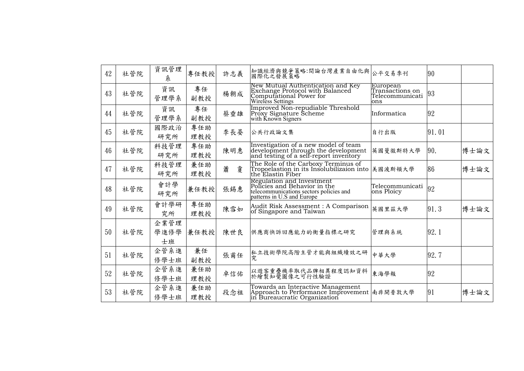| 42 | 社管院 | 資訊管理<br>糸          | 專任教授       | 許志義    | 知識經濟與競爭策略:間論台灣產業自由化與 <br> 國際化之發展策略                                                                                                 | 公平交易季刊                                                | 90    |      |
|----|-----|--------------------|------------|--------|------------------------------------------------------------------------------------------------------------------------------------|-------------------------------------------------------|-------|------|
| 43 | 社管院 | 資訊<br>管理學系         | 專任<br>副教授  | 楊朝成    | New Mutual Authentication and Key<br>Exchange Protocol with Balanced<br>Computational Power for<br>Wireless Settings               | European<br>Transactions on<br>Telecommunicati<br>ons | 93    |      |
| 44 | 社管院 | 資訊<br>管理學系         | 專任<br>副教授  | 蔡垂雄    | Improved Non-repudiable Threshold<br>Proxy Signature Scheme<br>with Known Signers                                                  | Informatica                                           | 92    |      |
| 45 | 社管院 | 國際政治<br>研究所        | 專任助<br>理教授 | 李長晏    | 公共行政論文集                                                                                                                            | 自行出版                                                  | 91.01 |      |
| 46 | 社管院 | 科技管理<br>研究所        | 專任助<br>理教授 | 陳明惠    | Investigation of a new model of team<br>development through the development<br>and testing of a self-report inventory              | 英國曼徹斯特大學                                              | 190.  | 博士論文 |
| 47 | 社管院 | 科技管理<br>研究所        | 兼任助<br>理教授 | 蕭<br>敻 | The Role of the Carboxy Terminus of<br>Tropoelastion in its Insolubilizaion into 美國波斯頓大學<br>the Elastin Fiber                      |                                                       | 86    | 博士論文 |
| 48 | 社管院 | 會計學<br>研究所         | 兼任教授       | 張錫惠    | Regulation and Investment<br>Policies and Behavior in the<br>telecommunications sectors policies and<br>patterns in U.S and Europe | Telecommunicati<br>ons Ploicy                         | 92    |      |
| 49 | 社管院 | 會計學研<br>究所         | 專任助<br>理教授 | 陳雪如    | Audit Risk Assessment : A Comparison<br>of Singapore and Taiwan                                                                    | 英國里茲大學                                                | 91.3  | 博士論文 |
| 50 | 社管院 | 企業管理<br>學進修學<br>士班 | 兼任教授       | 陳世良    | 供應商快訴回應能力的衡量指標之研究                                                                                                                  | 管理與系統                                                 | 92.1  |      |
| 51 | 社管院 | 企管系進<br>修學士班       | 兼任<br>副教授  | 張甫任    | 私立技術學院高階主管才能與組織績效之研<br>究                                                                                                           | 中華大學                                                  | 92.7  |      |
| 52 | 社管院 | 企管系進<br>修學士班       | 兼任助<br>理教授 | 卓信佑    | 以遊客重疊機率取代品牌相異程度認知資料<br>於繪製知覺圖像之可行性驗證                                                                                               | 東海學報                                                  | 92    |      |
| 53 | 社管院 | 企管系進<br>修學士班       | 兼任助<br>理教授 | 段念祖    | Towards an Interactive Management<br>Approach to Performance Improvement 南非開普敦大學<br>in Bureaucratic Organization                   |                                                       | 91    | 博士論文 |